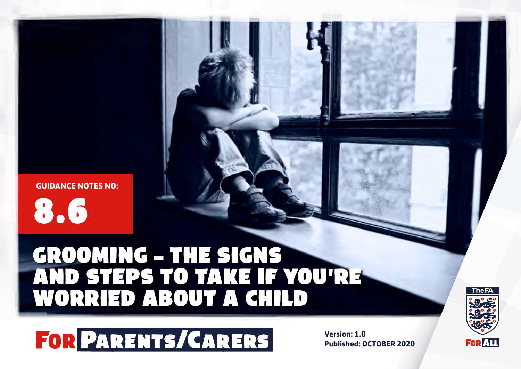# GROOMING – THE SIGNS AND STEPS TO TAKE IF YOU'RE WORRIED ABOUT A CHILD



**Published: OCTOBER 2020**



8.6 **GUIDANCE NOTES NO:**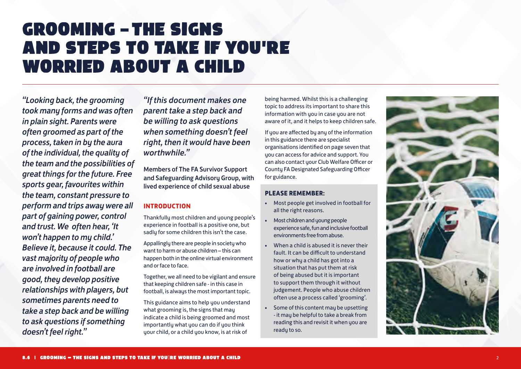# GROOMING – THE SIGNS AND STEPS TO TAKE IF YOU 'RE WORRIED ABOUT A CHILD

*"Looking back, the grooming took many forms and was often in plain sight. Parents were often groomed as part of the process, taken in by the aura of the individual, the quality of the team and the possibilities of great things for the future. Free sports gear, favourites within the team, constant pressure to perform and trips away were all part of gaining power, control and trust. We often hear, 'It won't happen to my child.' Believe it, because it could. The vast majority of people who are involved in football are good, they develop positive relationships with players, but sometimes parents need to take a step back and be willing to ask questions if something doesn't feel right."*

*"If this document makes one parent take a step back and be willing to ask questions when something doesn't feel right, then it would have been worthwhile."*

Members of The FA Survivor Support and Safeguarding Advisory Group, with lived experience of child sexual abuse

# **INTRODUCTION**

Thankfully most children and young people's experience in football is a positive one, but sadly for some children this isn't the case.

Appallingly there are people in society who want to harm or abuse children – this can happen both in the online virtual environment and or face to face.

Together, we all need to be vigilant and ensure that keeping children safe - in this case in football, is always the most important topic.

This guidance aims to help you understand what grooming is, the signs that may indicate a child is being groomed and most importantly what you can do if you think your child, or a child you know, is at risk of

being harmed. Whilst this is a challenging topic to address its important to share this information with you in case you are not aware of it, and it helps to keep children safe.

If you are affected by any of the information in this guidance there are specialist organisations identified on page seven that you can access for advice and support. You can also contact your Club Welfare Officer or County FA Designated Safeguarding Officer for guidance.

## **PLEASE REMEMBER:**

- Most people get involved in football for all the right reasons.
- Most children and young people experience safe, fun and inclusive football environments free from abuse.
- When a child is abused it is never their fault. It can be difficult to understand how or why a child has got into a situation that has put them at risk of being abused but it is important to support them through it without judgement. People who abuse children often use a process called 'grooming'.
- Some of this content may be upsetting - it may be helpful to take a break from reading this and revisit it when you are ready to so.

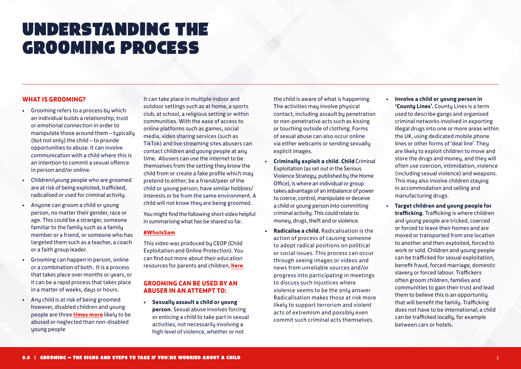# UNDERSTANDING THE GROOMING PROCESS

## **WHAT IS GROOMING?**

- Grooming refers to a process by which an individual builds a relationship, trust or emotional connection in order to manipulate those around them - tupicallu (but not only) the child – to provide opportunities to abuse. It can involve communication with a child where this is an intention to commit a sexual offence in person and/or online.
- Children/young people who are groomed are at risk of being exploited, trafficked, radicalised or used for criminal activity.
- Anyone can groom a child or young person, no matter their gender, race or age. This could be a stranger, someone familiar to the family such as a family member or a friend, or someone who has targeted them such as a teacher, a coach or a faith group leader.
- Grooming can happen in person, online or a combination of both. It is a process that takes place over months or years, or it can be a rapid process that takes place in a matter of weeks, days or hours.
- Any child is at risk of being groomed however, disabled children and young people are three **[times more](https://www.nspcc.org.uk/keeping-children-safe/reporting-abuse/coronavirus-abuse-neglect-vulnerable-children/)** likely to be abused or neglected than non-disabled young people

It can take place in multiple indoor and outdoor settings such as at home, a sports club, at school, a religious setting or within communities. With the ease of access to online platforms such as games, social media, video sharing services (such as TikTok) and live streaming sites abusers can contact children and young people at any time. Abusers can use the internet to be themselves from the setting they know the child from or create a fake profile which may pretend to either; be a friend/peer of the child or young person, have similar hobbies/ interests or be from the same environment. A child will not know they are being groomed.

You might find the following short video helpful in summarising what has be shared so far.

### **[#WhoIsSam](https://www.thinkuknow.co.uk/professionals/resources/WhoIsSam/)**

This video was produced by CEOP (Child Exploitation and Online Protection). You can find out more about their education resources for parents and children, **[here](https://www.thinkuknow.co.uk/parents)**.

## **GROOMING CAN BE USED BY AN ABUSER IN AN ATTEMPT TO:**

• **Sexually assault a child or young person.** Sexual abuse involves forcing or enticing a child to take part in sexual activities, not necessarily involving a high level of violence, whether or not

the child is aware of what is happening. The activities may involve physical contact, including assault by penetration or non-penetrative acts such as kissing or touching outside of clothing. Forms of sexual abuse can also occur online via either webcams or sending sexually explicit images.

- **Criminally exploit a child. Child** Criminal Exploitation (as set out in the Serious Violence Strategy, published by the Home Office), is where an individual or group takes advantage of an imbalance of power to coerce, control, manipulate or deceive a child or young person into committing criminal activity. This could relate to money, drugs, theft and or violence.
- **Radicalise a child.** Radicalisation is the action of process of causing someone to adopt radical positions on political or social issues. This process can occur through seeing images or videos and news from unreliable sources and/or progress into participating in meetings to discuss such injustices where violence seems to be the only answer. Radicalisation makes those at risk more likely to support terrorism and violent acts of extremism and possibly even commit such criminal acts themselves.
- **Involve a child or young person in 'County Lines'.** County Lines is a term used to describe gangs and organised criminal networks involved in exporting illegal drugs into one or more areas within the UK, using dedicated mobile phone lines or other forms of 'deal line'. They are likely to exploit children to move and store the drugs and money, and they will often use coercion, intimidation, violence (including sexual violence) and weapons. This may also involve children staying in accommodation and selling and manufacturing drugs.
- **Target children and young people for trafficking.** Trafficking is where children and young people are tricked, coerced or forced to leave their homes and are moved or transported from one location to another and then exploited, forced to work or sold. Children and young people can be trafficked for sexual exploitation, benefit fraud, forced marriage, domestic slavery or forced labour. Traffickers often groom children, families and communities to gain their trust and lead them to believe this is an opportunity that will benefit the family. Trafficking does not have to be international; a child can be trafficked locally, for example between cars or hotels.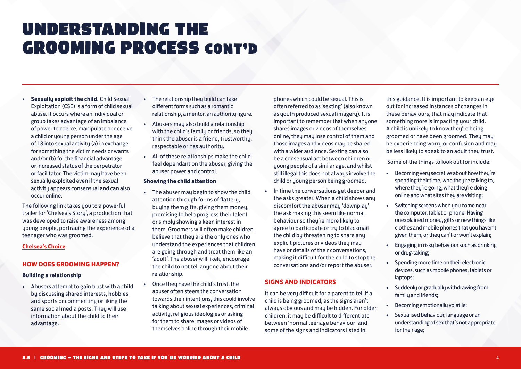# UNDERSTANDING THE GROOMING PROCESS cont'd

• **Sexually exploit the child.** Child Sexual Exploitation (CSE) is a form of child sexual abuse. It occurs where an individual or group takes advantage of an imbalance of power to coerce, manipulate or deceive a child or young person under the age of 18 into sexual activity (a) in exchange for something the victim needs or wants and/or (b) for the financial advantage or increased status of the perpetrator or facilitator. The victim may have been sexually exploited even if the sexual activity appears consensual and can also occur online.

The following link takes you to a powerful trailer for 'Chelsea's Story', a production that was developed to raise awareness among young people, portraying the experience of a teenager who was groomed.

#### **[Chelsea's Choice](https://www.youtube.com/watch?v=bAo8Yly8rFk)**

#### **HOW DOES GROOMING HAPPEN?**

#### **Building a relationship**

• Abusers attempt to gain trust with a child by discussing shared interests, hobbies and sports or commenting or liking the same social media posts. They will use information about the child to their advantage.

- The relationship they build can take different forms such as a romantic relationship, a mentor, an authority figure.
- Abusers may also build a relationship with the child's family or friends, so they think the abuser is a friend, trustworthy, respectable or has authority.
- All of these relationships make the child feel dependant on the abuser, giving the abuser power and control.

#### **Showing the child attention**

- The abuser may begin to show the child attention through forms of flattery, buying them gifts, giving them money, promising to help progress their talent or simply showing a keen interest in them. Groomers will often make children believe that they are the only ones who understand the experiences that children are going through and treat them like an 'adult'. The abuser will likely encourage the child to not tell anyone about their relationship.
- Once they have the child's trust, the abuser often steers the conversation towards their intentions, this could involve talking about sexual experiences, criminal activity, religious ideologies or asking for them to share images or videos of themselves online through their mobile

phones which could be sexual. This is often referred to as 'sexting' (also known as youth produced sexual imagery). It is important to remember that when anyone shares images or videos of themselves online, they may lose control of them and those images and videos may be shared with a wider audience. Sexting can also be a consensual act between children or young people of a similar age, and whilst still illegal this does not always involve the child or young person being groomed.

• In time the conversations get deeper and the asks greater. When a child shows any discomfort the abuser may 'downplay' the ask making this seem like normal behaviour so they're more likely to agree to participate or try to blackmail the child by threatening to share any explicit pictures or videos they may have or details of their conversations, making it difficult for the child to stop the conversations and/or report the abuser.

#### **SIGNS AND INDICATORS**

It can be very difficult for a parent to tell if a child is being groomed, as the signs aren't always obvious and may be hidden. For older children, it may be difficult to differentiate between 'normal teenage behaviour' and some of the signs and indicators listed in

this guidance. It is important to keep an eye out for increased instances of changes in these behaviours, that may indicate that something more is impacting your child. A child is unlikely to know they're being groomed or have been groomed. They may be experiencing worry or confusion and may be less likely to speak to an adult they trust.

Some of the things to look out for include:

- Becoming very secretive about how they're spending their time, who they're talking to, where they're going, what they're doing online and what sites they are visiting;
- Switching screens when you come near the computer, tablet or phone. Having unexplained money, gifts or new things like clothes and mobile phones that you haven't given them, or they can't or won't explain;
- Engaging in risky behaviour such as drinking or drug-taking;
- Spending more time on their electronic devices, such as mobile phones, tablets or laptops;
- Suddenly or gradually withdrawing from family and friends:
- Becoming emotionally volatile;
- Sexualised behaviour, language or an understanding of sex that's not appropriate for their age;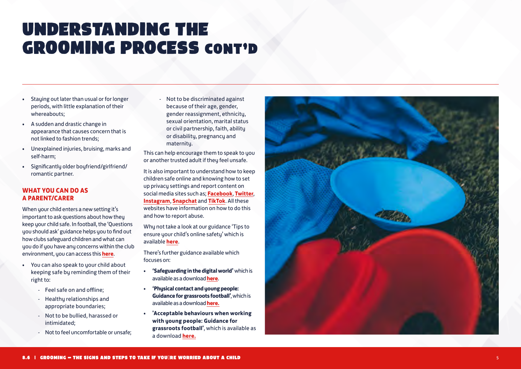# UNDERSTANDING THE GROOMING PROCESS CONT'D

- Staying out later than usual or for longer periods, with little explanation of their whereabouts;
- A sudden and drastic change in appearance that causes concern that is not linked to fashion trends;
- Unexplained injuries, bruising, marks and self-harm;
- Significantly older boyfriend/girlfriend/ romantic partner.

## **WHAT YOU CAN DO AS A PARENT/CARER**

When your child enters a new setting it's important to ask questions about how they keep your child safe. In football, the 'Questions you should ask' guidance helps you to find out how clubs safeguard children and what can you do if you have any concerns within the club environment, you can access this **[here](https://www.thefa.com/-/media/thefacom-new/files/rules-and-regulations/safeguarding/section-8/8-1-questions-you-should-ask-colour-version.ashx)** .

- You can also speak to your child about keeping safe by reminding them of their right to: - Feel safe on and offline;
	-
	- Healthy relationships and appropriate boundaries;
	- Not to be bullied, harassed or intimidated;
	- Not to feel uncomfortable or unsafe;

- Not to be discriminated against because of their age, gender, gender reassignment, ethnicity, sexual orientation, marital status or civil partnership, faith, ability or disability, pregnancy and maternity.

This can help encourage them to speak to you or another trusted adult if they feel unsafe.

It is also important to understand how to keep children safe online and knowing how to set up privacy settings and report content on social media sites such as; **[Facebook](https://www.facebook.com/help/212722115425932)**, **[Twitter](https://help.twitter.com/en/rules-and-policies/intimate-media)**, **[Instagram](https://help.instagram.com/489507671074566?helpref=page_content)**, **[Snapchat](https://support.snapchat.com/en-US/a/report-abuse-in-app)** and **[TikTok](https://support.tiktok.com/en/privacy-safety/report-inappropriate-content-en)**. All these websites have information on how to do this and how to report abuse.

Why not take a look at our guidance 'Tips to ensure your child's online safety' which is available **[here](https://www.thefa.com/-/media/thefacom-new/files/rules-and-regulations/safeguarding/section-8/8-5-staying-safe-in-the-digital-world-parents-and-carers-colour-version.ashx)**.

There's further guidance available which focuses on:

- **'Safeguarding in the digital world'** which is available as a download **[here](https://www.thefa.com/football-rules-governance/safeguarding/section-6-safeguarding-in-the-digital-world)** .
- **'Physical contact and young people: Guidance for grassroots football'**, which is available as a download **[here.](https://www.thefa.com/football-rules-governance/safeguarding/section-5-the-designated-safeguarding-officer-network)**
- **'Acceptable behaviours when working with young people: Guidance for grassroots football'**, which is available as a download **[here.](https://www.thefa.com/football-rules-governance/safeguarding/section-5-the-designated-safeguarding-officer-network)**

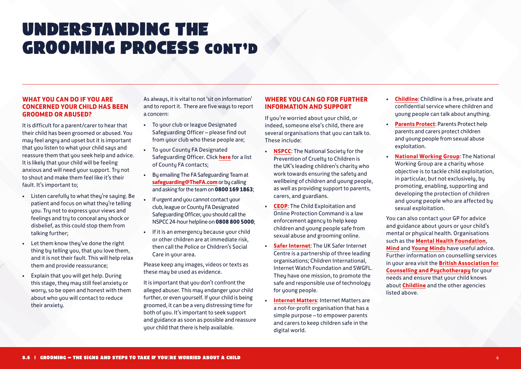# UNDERSTANDING THE GROOMING PROCESS cont'd

## **WHAT YOU CAN DO IF YOU ARE CONCERNED YOUR CHILD HAS BEEN GROOMED OR ABUSED?**

It is difficult for a parent/carer to hear that their child has been groomed or abused. You may feel angry and upset but it is important that you listen to what your child says and reassure them that you seek help and advice. It is likely that your child will be feeling anxious and will need your support. Try not to shout and make them feel like it's their fault. It's important to;

- Listen carefully to what they're saying. Be patient and focus on what they're telling you. Try not to express your views and feelings and try to conceal any shock or disbelief, as this could stop them from talking further;
- Let them know they've done the right thing by telling you, that you love them, and it is not their fault. This will help relax them and provide reassurance;
- Explain that you will get help. During this stage, they may still feel anxiety or worry, so be open and honest with them about who you will contact to reduce their anxietu.

As always, it is vital to not 'sit on information' and to report it. There are five ways to report a concern:

- To your club or league Designated Safeguarding Officer – please find out from your club who these people are;
- To your County FA Designated Safeguarding Officer. Click **[here](http://www.thefa.com/football-rules-governance/safeguarding/county-fa-safeguarding-contacts )** for a list of County FA contacts;
- By emailing The FA Safeguarding Team at **[safeguarding@TheFA.com](mailto:safeguarding%40TheFA.com?subject=)** or by calling and asking for the team on **0800 169 1863**;
- If urgent and you cannot contact your club, league or County FA Designated Safeguarding Officer, you should call the NSPCC 24-hour helpline on **0808 800 5000**;
- If it is an emergency because your child or other children are at immediate risk, then call the Police or Children's Social Care in your area.

Please keep any images, videos or texts as these may be used as evidence.

It is important that you don't confront the alleged abuser. This may endanger your child further, or even yourself. If your child is being groomed, it can be a very distressing time for both of you. It's important to seek support and guidance as soon as possible and reassure your child that there is help available.

# **WHERE YOU CAN GO FOR FURTHER INFORMATION AND SUPPORT**

If you're worried about your child, or indeed, someone else's child, there are several organisations that you can talk to. These include:

- **[NSPCC](https://www.nspcc.org.uk/)**: The National Society for the Prevention of Cruelty to Children is the UK's leading children's charity who work towards ensuring the safety and wellbeing of children and young people, as well as providing support to parents, carers, and guardians.
- **[CEOP](https://www.ceop.police.uk/safety-centre/)**: The Child Exploitation and Online Protection Command is a law enforcement agency to help keep children and young people safe from sexual abuse and grooming online.
- **[Safer Internet](https://www.saferinternet.org.uk/)**: The UK Safer Internet Centre is a partnership of three leading organisations; Children International, Internet Watch Foundation and SWGFL. They have one mission, to promote the safe and responsible use of technology for young people.
- **[Internet Matters](https://www.internetmatters.org/)**: Internet Matters are a not-for-profit organisation that has a simple purpose – to empower parents and carers to keep children safe in the digital world.
- **[Childline](https://www.childline.org.uk/)**: Childline is a free, private and confidential service where children and young people can talk about anything.
- **[Parents Protect](https://www.parentsprotect.co.uk/): Parents Protect help** parents and carers protect children and young people from sexual abuse exploitation.
- **[National Working Group](https://www.nwgnetwork.org/)**: The National Working Group are a charity whose objective is to tackle child exploitation, in particular, but not exclusively, by promoting, enabling, supporting and developing the protection of children and young people who are affected by sexual exploitation.

You can also contact your GP for advice and guidance about yours or your child's mental or physical health. Organisations such as the **[Mental Health Foundation](https://www.mentalhealth.org.uk/a-to-z/t/talking-your-gp-about-your-mental-health)**, **[Mind](https://www.mind.org.uk/information-support/guides-to-support-and-services/seeking-help-for-a-mental-health-problem/where-to-start/#.V20apusrLIV)** and **[Young Minds](https://youngminds.org.uk/)** have useful advice. Further information on counselling services in your area visit the **[British Association for](https://www.bacp.co.uk/)  [Counselling and Psychotherapy](https://www.bacp.co.uk/)** for your needs and ensure that your child knows about **[Childline](https://www.childline.org.uk/)** and the other agencies listed above.